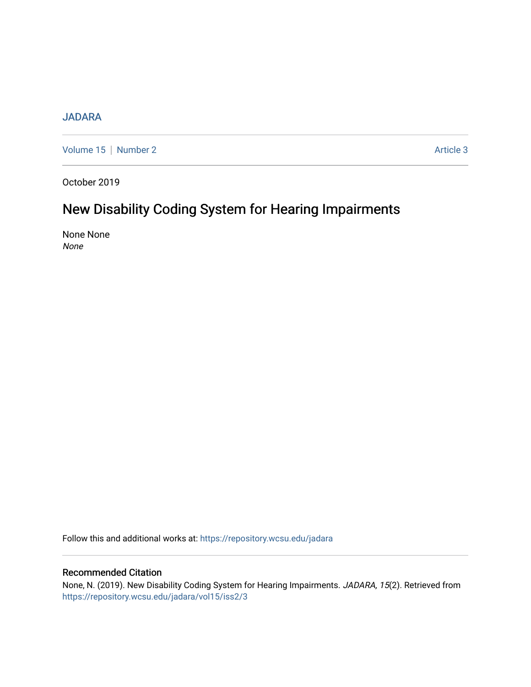# [JADARA](https://repository.wcsu.edu/jadara)

[Volume 15](https://repository.wcsu.edu/jadara/vol15) | [Number 2](https://repository.wcsu.edu/jadara/vol15/iss2) Article 3

October 2019

# New Disability Coding System for Hearing Impairments

None None None

Follow this and additional works at: [https://repository.wcsu.edu/jadara](https://repository.wcsu.edu/jadara?utm_source=repository.wcsu.edu%2Fjadara%2Fvol15%2Fiss2%2F3&utm_medium=PDF&utm_campaign=PDFCoverPages)

# Recommended Citation

None, N. (2019). New Disability Coding System for Hearing Impairments. JADARA, 15(2). Retrieved from [https://repository.wcsu.edu/jadara/vol15/iss2/3](https://repository.wcsu.edu/jadara/vol15/iss2/3?utm_source=repository.wcsu.edu%2Fjadara%2Fvol15%2Fiss2%2F3&utm_medium=PDF&utm_campaign=PDFCoverPages)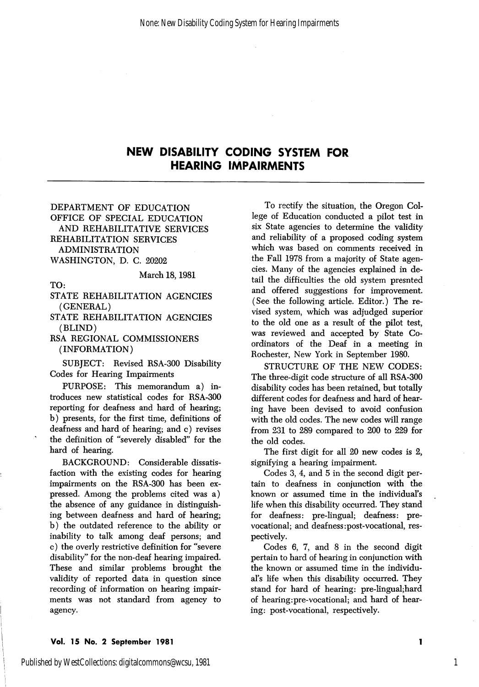## NEW DISABILITY CODING SYSTEM FOR HEARING IMPAIRMENTS

DEPARTMENT OF EDUCATION OFFICE OF SPECIAL EDUCATION AND REHABILITATIVE SERVICES REHABILITATION SERVICES ADMINISTRATION WASHINGTON, D. C. 20202

March 18,1981

TO:

STATE REHABILITATION AGENCIES (GENERAL)

STATE REHABILITATION AGENCIES (BLIND)

RSA REGIONAL COMMISSIONERS (INFORMATION)

SUBJECT: Revised RSA-300 Disability Codes for Hearing Impairments

PURPOSE: This memorandum a) in troduces new statistical codes for RSA-300 reporting for deafness and hard of hearing; b) presents, for the first time, definitions of deafness and hard of hearing; and c) revises the definition of "severely disabled'' for the hard of hearing,

BACKGROUND: Considerable dissatis faction with the existing codes for hearing impairments on the RSA-300 has been ex pressed. Among the problems cited was a) the absence of any guidance in distinguish ing between deafness and hard of hearing; b) the outdated reference to the ability or inability to talk among deaf persons; and c) the overly restrictive definition for "severe disability" for the non-deaf hearing impaired. These and similar problems brought the validity of reported data in question since recording of information on hearing impair ments was not standard from agency to agency.

To rectify the situation, the Oregon Col lege of Education conducted a pilot test in six State agencies to determine the validity and reliability of a proposed coding system which was based on comments received in the Fall 1978 from a majority of State agen cies. Many of the agencies explained in de tail the difficulties the old system presnted and offered suggestions for improvement. (See the following article. Editor.) The re vised system, which was adjudged superior to the old one as a result of the pilot test, was reviewed and accepted by State Co ordinators of the Deaf in a meeting in Rochester, New York in September 1980.

STRUCTURE OF THE NEW CODES: The three-digit code structure of all RSA-300 disability codes has been retained, but totally different codes for deafness and hard of hear ing have been devised to avoid confusion with the old codes. The new codes will range from 231 to 289 compared to 200 to 229 for the old codes.

The first digit for all 20 new codes is 2, signifying a hearing impairment.

Codes 3, 4, and 5 in the second digit per tain to deafness in conjunction with the known or assumed time in the individual's life when this disability occurred. They stand for deafness: pre-lingual; deafness: prevocational; and deafness:post-vocational, res pectively.

Codes 6, 7, and 8 in the second digit pertain to hard of hearing in conjunction with the known or assumed time in the individu al's life when this disability occurred. They stand for hard of hearing: pre-lingual;hard of hearing:pre-vocational; and hard of hear ing: post-vocational, respectively.

#### Vol. 15 No. 2 September 1981

1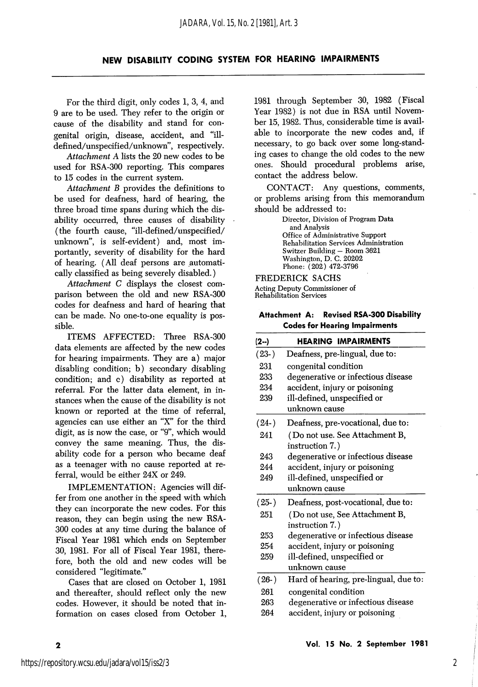## NEW DISABILITY CODING SYSTEM FOR HEARING IMPAIRMENTS

For the third digit, only codes 1, 3, 4, and 9 are to be used. They refer to the origin or cause of the disability and stand for con genital origin, disease, accident, and "illdefined/unspecified/unknown', respectively.

Attachment A lists the 20 new codes to be used for RSA-300 reporting. This compares to 15 codes in the current system.

Attachment B provides the definitions to be used for deafness, hard of hearing, the three broad time spans during which the dis ability occurred, three causes of disability (the fourth cause, "ill-defined/unspecified/ unknown", is self-evident) and, most im portantly, severity of disability for the hard of hearing. (All deaf persons are automati cally classified as being severely disabled.)

Attachment C displays the closest com parison between the old and new RSA-300 codes for deafness and hard of hearing that can be made. No one-to-one equality is pos sible.

ITEMS AFFECTED: Three RSA-300 data elements are affected by the new codes for hearing impairments. They are a) major disabling condition; b) secondary disabling condition; and c) disability as reported at referral. For the latter data element, in in stances when the cause of the disability is not known or reported at the time of referral, agencies can use either an "X" for the third digit, as is now the case, or "9", which would convey the same meaning. Thus, the dis ability code for a person who became deaf as a teenager with no cause reported at re ferral, would be either 24X or 249.

IMPLEMENTATION: Agencies will dif fer from one another in the speed with which they can incorporate the new codes. For this reason, they can begin using the new RSA-300 codes at any time during the balance of Fiscal Year I98I which ends on September 30, I98I. For all of Fiscal Year I98I, there fore, both the old and new codes will be considered "legitimate."

Cases that are closed on October I, I98I and thereafter, should reflect only the new codes. However, it should be noted that in formation on cases closed from October I, I98I through September 30, 1982 (Fiscal Year 1982) is not due in RSA until Novem ber 15, 1982. Thus, considerable time is avail able to incorporate the new codes and, if necessary, to go back over some long-stand ing cases to change the old codes to the new ones. Should procedural problems arise, contact the address below.

CONTACT: Any questions, comments, or problems arising from this memorandum should be addressed to:

> Director, Division of Program Data and Analysis Office of Administrative Support Rehabilitation Services Administration Switzer Building — Room 3621 Washington, D. C. 20202 Phone: (202) 472-3796

FREDERICK SACHS Acting Deputy Commissioner of Rehabilitation Services

Attachment A: Revised RSA-300 Disability Codes for Hearing Impairments

| $(2-)$  | <b>HEARING IMPAIRMENTS</b>            |  |  |
|---------|---------------------------------------|--|--|
| $(23-)$ | Deafness, pre-lingual, due to:        |  |  |
| 231     | congenital condition                  |  |  |
| 233     | degenerative or infectious disease    |  |  |
| 234     | accident, injury or poisoning         |  |  |
| 239     | ill-defined, unspecified or           |  |  |
|         | unknown cause                         |  |  |
| $(24-)$ | Deafness, pre-vocational, due to:     |  |  |
| 241     | (Do not use. See Attachment B,        |  |  |
|         | instruction 7.)                       |  |  |
| 243     | degenerative or infectious disease    |  |  |
| 244     | accident, injury or poisoning         |  |  |
| 249     | ill-defined, unspecified or           |  |  |
|         | unknown cause                         |  |  |
| $(25-)$ | Deafness, post-vocational, due to:    |  |  |
| 251     | ( Do not use, See Attachment B,       |  |  |
|         | instruction 7.)                       |  |  |
| 253     | degenerative or infectious disease    |  |  |
| 254     | accident, injury or poisoning         |  |  |
| 259     | ill-defined, unspecified or           |  |  |
|         | unknown cause                         |  |  |
| $(26-)$ | Hard of hearing, pre-lingual, due to: |  |  |
| 261     | congenital condition                  |  |  |
| 263     | degenerative or infectious disease    |  |  |
| 264     | accident, injury or poisoning         |  |  |

 $\overline{\mathbf{2}}$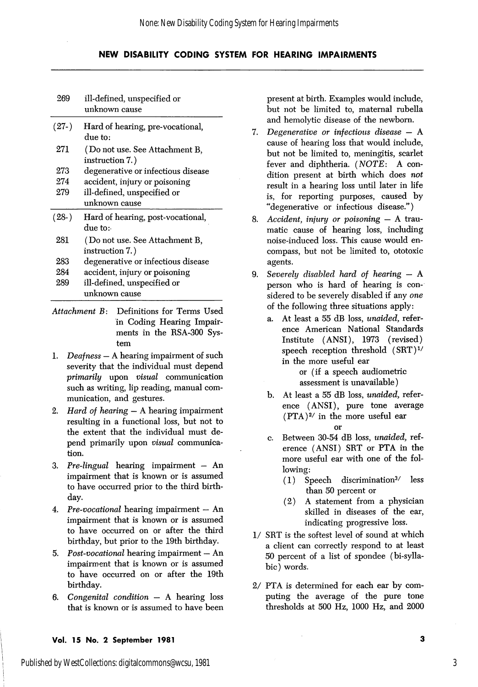## NEW DISABILITY CODING SYSTEM FOR HEARING IMPAIRMENTS

| 269     | ill-defined, unspecified or<br>unknown cause      |  |  |
|---------|---------------------------------------------------|--|--|
| $(27-)$ | Hard of hearing, pre-vocational,<br>due to:       |  |  |
| 271     | (Do not use. See Attachment B,<br>instruction 7.) |  |  |
| 273     | degenerative or infectious disease                |  |  |
| 274     | accident, injury or poisoning                     |  |  |
| 279     | ill-defined, unspecified or                       |  |  |
|         | unknown cause                                     |  |  |
|         |                                                   |  |  |
| $(28-)$ | Hard of hearing, post-vocational,<br>due to:      |  |  |
| 281     | (Do not use. See Attachment B,<br>instruction 7.) |  |  |
| 283     | degenerative or infectious disease                |  |  |
| 284     | accident, injury or poisoning                     |  |  |
| 289     | ill-defined, unspecified or                       |  |  |

- Attachment B: Definitions for Terms Used in Coding Hearing Impair ments in the RSA-300 Sys tem
- 1. Deafness A hearing impairment of such severity that the individual must depend primarily upon visual communication such as writing, lip reading, manual com munication, and gestures.
- 2. *Hard of hearing*  $A$  hearing impairment resulting in a functional loss, but not to the extent that the individual must de pend primarily upon visual communica tion.
- 3. Pre-lingual hearing impairment An impairment that is known or is assumed to have occurred prior to the third birth day.
- 4. Pre-vocational hearing impairment An impairment that is known or is assumed to have occurred on or after the third birthday, but prior to the 19th birthday.
- 5. Post-vocational hearing impairment  $-$  An impairment that is known or is assumed to have occurred on or after the 19th birthday.
- 6. Congenital condition A hearing loss that is known or is assumed to have been

present at birth. Examples would include, but not be limited to, maternal rubella and hemolytic disease of the newborn.

- 7. Degenerative or infectious disease A cause of hearing loss that would include, but not be limited to, meningitis, scarlet fever and diphtheria. (NOTE: A con dition present at birth which does not result in a hearing loss until later in life is, for reporting purposes, caused by "degenerative or infectious disease.")
- 8. Accident, injury or poisoning  $-$  A traumatic cause of hearing loss, including noise-induced loss. This cause would en compass, but not be limited to, ototoxic agents.
- 9. Severely disabled hard of hearing  $-$  A person who is hard of hearing is con sidered to be severely disabled if any one of the following three situations apply:
	- a. At least a 55 dB loss, unaided, refer ence American National Standards Institute (ANSI), 1973 (revised) speech reception threshold  $(SRT)^{1/2}$ in the more useful ear

or (if a speech audiometric assessment is unavailable)

- b. At least a 55 dB loss, unaided, refer ence (ANSI), pure tone average  $(PTA)^{2/}$  in the more useful ear or
- c. Between 30-54 dB loss, unaided, ref erence (ANSI) SRT or PTA in the more useful ear with one of the fol lowing:
	- (1) Speech discrimination^/ less than 50 percent or
	- (2) A statement from a physician skilled in diseases of the ear, indicating progressive loss.
- 1/ SRT is the softest level of sound at which a client can correctly respond to at least 50 percent of a list of spondee (bi-syllabic) words.
- 2/ PTA is determined for each ear by com puting the average of the pure tone thresholds at 500 Hz, 1000 Hz, and 2000

## Vol. 15 No. 2 September 1981

Published by WestCollections: digitalcommons@wcsu, 1981

3

3